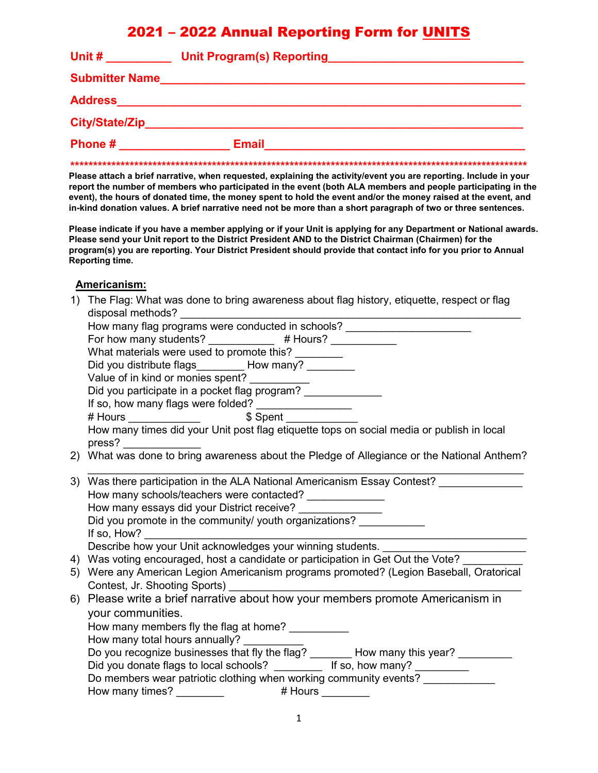# 2021 – 2022 Annual Reporting Form for UNITS

| Unit #                | <b>Unit Program(s) Reporting</b> |
|-----------------------|----------------------------------|
| <b>Submitter Name</b> |                                  |
| <b>Address</b>        |                                  |
| <b>City/State/Zip</b> |                                  |
| Phone #               | <b>Email</b>                     |
|                       |                                  |

**Please attach a brief narrative, when requested, explaining the activity/event you are reporting. Include in your report the number of members who participated in the event (both ALA members and people participating in the event), the hours of donated time, the money spent to hold the event and/or the money raised at the event, and in-kind donation values. A brief narrative need not be more than a short paragraph of two or three sentences.**

**Please indicate if you have a member applying or if your Unit is applying for any Department or National awards. Please send your Unit report to the District President AND to the District Chairman (Chairmen) for the program(s) you are reporting. Your District President should provide that contact info for you prior to Annual Reporting time.**

#### **Americanism:**

| 1)  | The Flag: What was done to bring awareness about flag history, etiquette, respect or flag                                |
|-----|--------------------------------------------------------------------------------------------------------------------------|
|     | disposal methods?                                                                                                        |
|     | How many flag programs were conducted in schools? ______________________________                                         |
|     | For how many students? ____________ # Hours? __________                                                                  |
|     | What materials were used to promote this? ________                                                                       |
|     | Did you distribute flags_________ How many? ________                                                                     |
|     | Value of in kind or monies spent? __________                                                                             |
|     | Did you participate in a pocket flag program? ______________                                                             |
|     | If so, how many flags were folded? ________________                                                                      |
|     |                                                                                                                          |
|     | How many times did your Unit post flag etiquette tops on social media or publish in local                                |
| (2) | pres?<br>What was done to bring awareness about the Pledge of Allegiance or the National Anthem?                         |
|     |                                                                                                                          |
|     | 3) Was there participation in the ALA National Americanism Essay Contest?                                                |
|     | How many schools/teachers were contacted? ______________                                                                 |
|     | How many essays did your District receive? _______________                                                               |
|     | Did you promote in the community/ youth organizations?                                                                   |
|     |                                                                                                                          |
|     | Describe how your Unit acknowledges your winning students. _____________________                                         |
| 4)  | Was voting encouraged, host a candidate or participation in Get Out the Vote?                                            |
|     | 5) Were any American Legion Americanism programs promoted? (Legion Baseball, Oratorical<br>Contest, Jr. Shooting Sports) |
|     | 6) Please write a brief narrative about how your members promote Americanism in                                          |
|     | your communities.                                                                                                        |
|     | How many members fly the flag at home? __________                                                                        |
|     | How many total hours annually?                                                                                           |
|     | Do you recognize businesses that fly the flag? _______ How many this year? _____                                         |
|     | Did you donate flags to local schools? __________ If so, how many? _________                                             |
|     | Do members wear patriotic clothing when working community events? _____________                                          |
|     |                                                                                                                          |
|     |                                                                                                                          |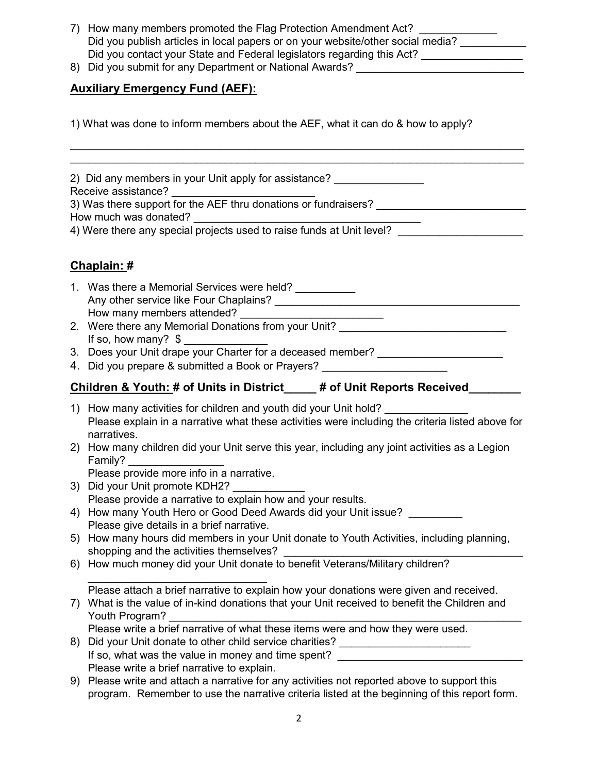- 7) How many members promoted the Flag Protection Amendment Act? Did you publish articles in local papers or on your website/other social media? Did you contact your State and Federal legislators regarding this Act?
- 8) Did you submit for any Department or National Awards?

## **Auxiliary Emergency Fund (AEF):**

1) What was done to inform members about the AEF, what it can do & how to apply?

\_\_\_\_\_\_\_\_\_\_\_\_\_\_\_\_\_\_\_\_\_\_\_\_\_\_\_\_\_\_\_\_\_\_\_\_\_\_\_\_\_\_\_\_\_\_\_\_\_\_\_\_\_\_\_\_\_\_\_\_\_\_\_\_\_\_\_\_\_\_\_\_\_\_\_\_ \_\_\_\_\_\_\_\_\_\_\_\_\_\_\_\_\_\_\_\_\_\_\_\_\_\_\_\_\_\_\_\_\_\_\_\_\_\_\_\_\_\_\_\_\_\_\_\_\_\_\_\_\_\_\_\_\_\_\_\_\_\_\_\_\_\_\_\_\_\_\_\_\_\_\_\_

2) Did any members in your Unit apply for assistance?

Receive assistance?

3) Was there support for the AEF thru donations or fundraisers? How much was donated?

4) Were there any special projects used to raise funds at Unit level? \_\_\_\_\_\_\_\_\_\_\_\_\_\_\_\_\_\_\_\_\_

## **Chaplain: #**

- 1. Was there a Memorial Services were held? \_\_\_\_\_\_\_\_\_\_ Any other service like Four Chaplains? \_\_\_\_\_\_\_\_\_\_\_\_\_\_\_\_\_\_\_\_\_\_\_\_\_\_\_\_\_\_\_\_\_\_\_\_\_\_\_\_\_ How many members attended? \_\_\_\_\_\_\_\_\_\_\_\_\_\_\_\_\_\_\_\_\_\_\_\_
- 2. Were there any Memorial Donations from your Unit? If so, how many?  $$$
- 3. Does your Unit drape your Charter for a deceased member? \_\_\_\_\_\_\_\_\_\_\_\_\_\_\_\_\_\_\_\_
- 4. Did you prepare & submitted a Book or Prayers?

# **Children & Youth: # of Units in District\_\_\_\_\_ # of Unit Reports Received\_\_\_\_\_\_\_\_**

- 1) How many activities for children and youth did your Unit hold? Please explain in a narrative what these activities were including the criteria listed above for narratives.
- 2) How many children did your Unit serve this year, including any joint activities as a Legion Family? \_\_\_\_\_\_\_\_\_\_\_\_\_\_\_\_

Please provide more info in a narrative.

- 3) Did your Unit promote KDH2? Please provide a narrative to explain how and your results.
- 4) How many Youth Hero or Good Deed Awards did your Unit issue? Please give details in a brief narrative.
- 5) How many hours did members in your Unit donate to Youth Activities, including planning, shopping and the activities themselves?
- 6) How much money did your Unit donate to benefit Veterans/Military children?

 $\overline{\phantom{a}}$  , where  $\overline{\phantom{a}}$  , where  $\overline{\phantom{a}}$  , where  $\overline{\phantom{a}}$  , where  $\overline{\phantom{a}}$ Please attach a brief narrative to explain how your donations were given and received.

- 7) What is the value of in-kind donations that your Unit received to benefit the Children and Youth Program?
	- Please write a brief narrative of what these items were and how they were used.
- 8) Did your Unit donate to other child service charities? \_\_\_\_\_\_\_\_\_\_\_\_\_\_\_\_\_\_\_\_\_\_ If so, what was the value in money and time spent? Please write a brief narrative to explain.
- 9) Please write and attach a narrative for any activities not reported above to support this program. Remember to use the narrative criteria listed at the beginning of this report form.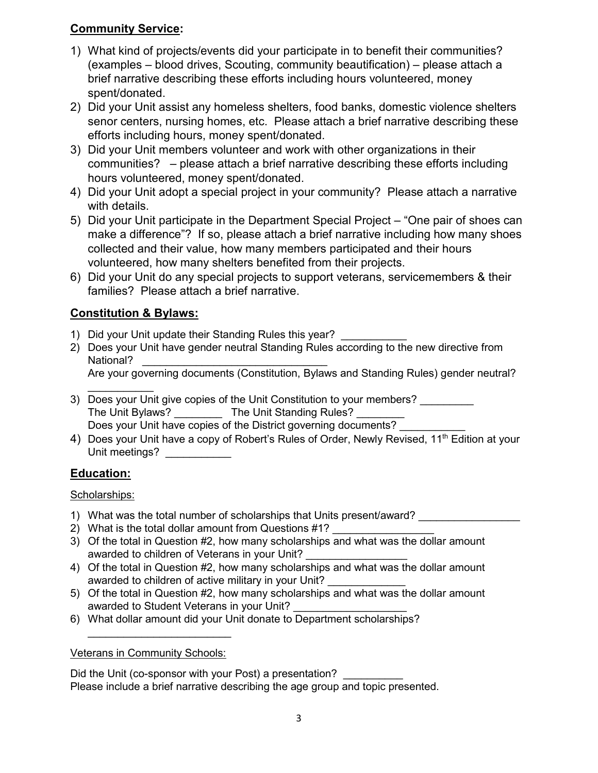## **Community Service:**

- 1) What kind of projects/events did your participate in to benefit their communities? (examples – blood drives, Scouting, community beautification) – please attach a brief narrative describing these efforts including hours volunteered, money spent/donated.
- 2) Did your Unit assist any homeless shelters, food banks, domestic violence shelters senor centers, nursing homes, etc. Please attach a brief narrative describing these efforts including hours, money spent/donated.
- 3) Did your Unit members volunteer and work with other organizations in their communities? – please attach a brief narrative describing these efforts including hours volunteered, money spent/donated.
- 4) Did your Unit adopt a special project in your community? Please attach a narrative with details.
- 5) Did your Unit participate in the Department Special Project "One pair of shoes can make a difference"? If so, please attach a brief narrative including how many shoes collected and their value, how many members participated and their hours volunteered, how many shelters benefited from their projects.
- 6) Did your Unit do any special projects to support veterans, servicemembers & their families? Please attach a brief narrative.

# **Constitution & Bylaws:**

- 1) Did your Unit update their Standing Rules this year?
- 2) Does your Unit have gender neutral Standing Rules according to the new directive from National?

Are your governing documents (Constitution, Bylaws and Standing Rules) gender neutral?

- $\frac{1}{2}$ 3) Does your Unit give copies of the Unit Constitution to your members? \_\_\_\_\_\_\_\_ The Unit Bylaws? \_\_\_\_\_\_\_\_\_\_ The Unit Standing Rules? \_\_\_\_\_ Does your Unit have copies of the District governing documents?
- 4) Does your Unit have a copy of Robert's Rules of Order, Newly Revised,  $11<sup>th</sup>$  Edition at your Unit meetings?

## **Education:**

Scholarships:

- 1) What was the total number of scholarships that Units present/award?
- 2) What is the total dollar amount from Questions #1?
- 3) Of the total in Question #2, how many scholarships and what was the dollar amount awarded to children of Veterans in your Unit?
- 4) Of the total in Question #2, how many scholarships and what was the dollar amount awarded to children of active military in your Unit?
- 5) Of the total in Question #2, how many scholarships and what was the dollar amount awarded to Student Veterans in your Unit?
- 6) What dollar amount did your Unit donate to Department scholarships?

### Veterans in Community Schools:

 $\frac{1}{2}$  , and the set of the set of the set of the set of the set of the set of the set of the set of the set of the set of the set of the set of the set of the set of the set of the set of the set of the set of the set

Did the Unit (co-sponsor with your Post) a presentation? Please include a brief narrative describing the age group and topic presented.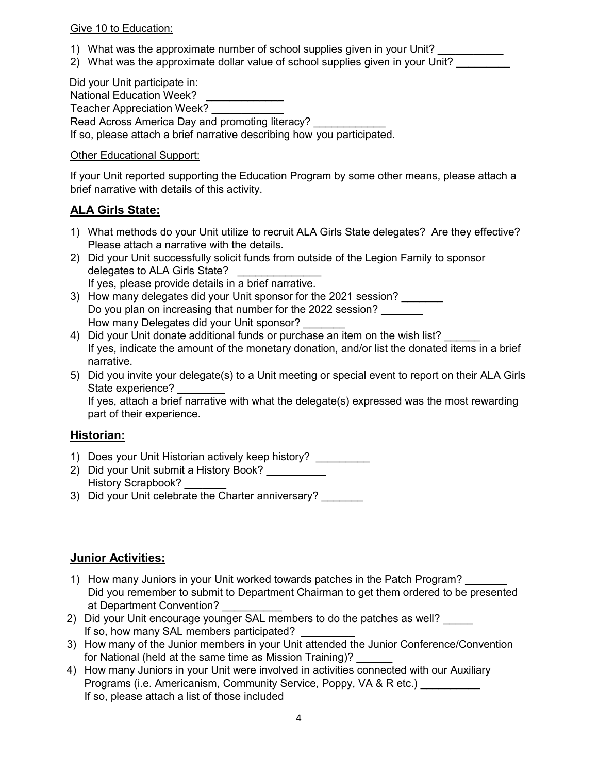#### Give 10 to Education:

- 1) What was the approximate number of school supplies given in your Unit?
- 2) What was the approximate dollar value of school supplies given in your Unit?

 Did your Unit participate in: National Education Week? Teacher Appreciation Week? Read Across America Day and promoting literacy?

If so, please attach a brief narrative describing how you participated.

#### Other Educational Support:

If your Unit reported supporting the Education Program by some other means, please attach a brief narrative with details of this activity.

### **ALA Girls State:**

- 1) What methods do your Unit utilize to recruit ALA Girls State delegates? Are they effective? Please attach a narrative with the details.
- 2) Did your Unit successfully solicit funds from outside of the Legion Family to sponsor delegates to ALA Girls State? If yes, please provide details in a brief narrative.
- 3) How many delegates did your Unit sponsor for the 2021 session? Do you plan on increasing that number for the 2022 session? How many Delegates did your Unit sponsor?
- 4) Did your Unit donate additional funds or purchase an item on the wish list? If yes, indicate the amount of the monetary donation, and/or list the donated items in a brief narrative.
- 5) Did you invite your delegate(s) to a Unit meeting or special event to report on their ALA Girls State experience?

If yes, attach a brief narrative with what the delegate(s) expressed was the most rewarding part of their experience.

### **Historian:**

- 1) Does your Unit Historian actively keep history?
- 2) Did your Unit submit a History Book? History Scrapbook?
- 3) Did your Unit celebrate the Charter anniversary? \_\_\_\_\_\_\_

### **Junior Activities:**

- 1) How many Juniors in your Unit worked towards patches in the Patch Program? Did you remember to submit to Department Chairman to get them ordered to be presented at Department Convention?
- 2) Did your Unit encourage younger SAL members to do the patches as well? If so, how many SAL members participated?
- 3) How many of the Junior members in your Unit attended the Junior Conference/Convention for National (held at the same time as Mission Training)?
- 4) How many Juniors in your Unit were involved in activities connected with our Auxiliary Programs (i.e. Americanism, Community Service, Poppy, VA & R etc.) If so, please attach a list of those included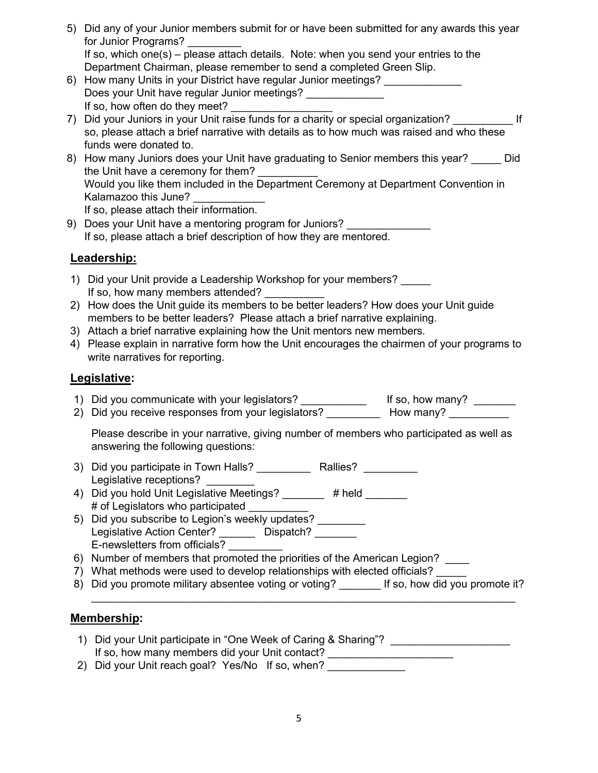| 5) Did any of your Junior members submit for or have been submitted for any awards this year |
|----------------------------------------------------------------------------------------------|
| for Junior Programs?                                                                         |
| If so, which one(s) – please attach details. Note: when you send your entries to the         |
| Department Chairman, please remember to send a completed Green Slip.                         |
| $\Omega$ . Usu manut United in train District better negative training as a stimula          |

- 6) How many Units in your District have regular Junior meetings? Does your Unit have regular Junior meetings? \_\_\_\_\_\_\_\_\_\_\_\_\_ If so, how often do they meet?
- 7) Did your Juniors in your Unit raise funds for a charity or special organization? so, please attach a brief narrative with details as to how much was raised and who these funds were donated to.
- 8) How many Juniors does your Unit have graduating to Senior members this year? Did the Unit have a ceremony for them? Would you like them included in the Department Ceremony at Department Convention in Kalamazoo this June? If so, please attach their information.
- 9) Does your Unit have a mentoring program for Juniors? If so, please attach a brief description of how they are mentored.

## **Leadership:**

- 1) Did your Unit provide a Leadership Workshop for your members? If so, how many members attended?
- 2) How does the Unit guide its members to be better leaders? How does your Unit guide members to be better leaders? Please attach a brief narrative explaining.
- 3) Attach a brief narrative explaining how the Unit mentors new members.
- 4) Please explain in narrative form how the Unit encourages the chairmen of your programs to write narratives for reporting.

## **Legislative:**

- 1) Did you communicate with your legislators? \_\_\_\_\_\_\_\_\_\_\_\_\_\_\_\_ If so, how many? \_\_\_\_\_\_\_
- 2) Did you receive responses from your legislators? \_\_\_\_\_\_\_\_\_\_\_ How many? \_\_\_\_\_\_\_

Please describe in your narrative, giving number of members who participated as well as answering the following questions:

- 3) Did you participate in Town Halls? <br>
Rallies? Legislative receptions?
- 4) Did you hold Unit Legislative Meetings? \_\_\_\_\_\_\_ # held \_\_\_\_\_\_ # of Legislators who participated \_\_\_\_\_\_\_\_\_\_
- 5) Did you subscribe to Legion's weekly updates? Legislative Action Center? \_\_\_\_\_\_\_ Dispatch? \_\_\_\_\_\_ E-newsletters from officials? \_\_\_\_\_\_\_\_\_
- 6) Number of members that promoted the priorities of the American Legion?
- 7) What methods were used to develop relationships with elected officials? \_\_\_\_\_
- 8) Did you promote military absentee voting or voting? \_\_\_\_\_\_\_ If so, how did you promote it?  $\_$  , and the set of the set of the set of the set of the set of the set of the set of the set of the set of the set of the set of the set of the set of the set of the set of the set of the set of the set of the set of th

## **Membership:**

1) Did your Unit participate in "One Week of Caring & Sharing"? \_\_\_\_\_\_\_\_\_\_\_\_\_\_\_\_ If so, how many members did your Unit contact? \_\_\_\_\_\_\_\_\_\_\_\_\_\_\_\_\_\_\_\_\_\_\_\_\_\_\_\_\_\_\_\_\_ 2) Did your Unit reach goal? Yes/No If so, when?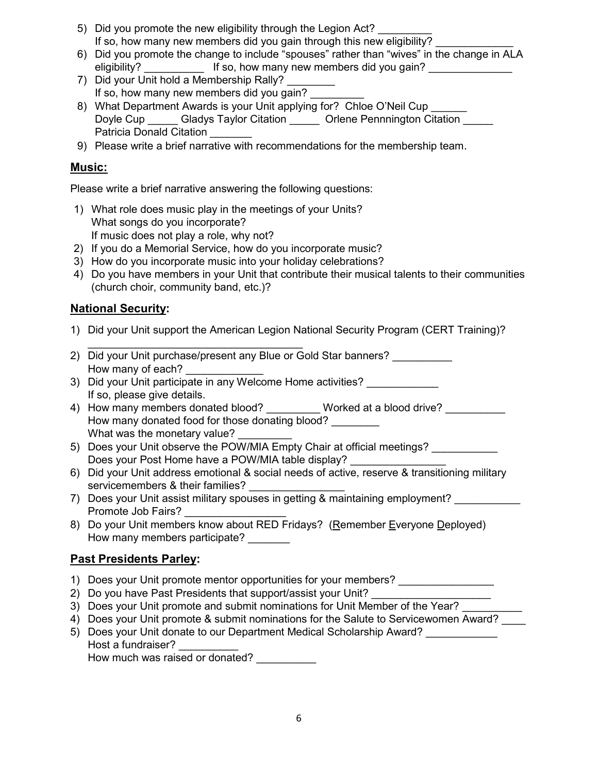- 5) Did you promote the new eligibility through the Legion Act? If so, how many new members did you gain through this new eligibility?
- 6) Did you promote the change to include "spouses" rather than "wives" in the change in ALA eligibility? **Example 1** If so, how many new members did you gain?
- 7) Did your Unit hold a Membership Rally? If so, how many new members did you gain?
- 8) What Department Awards is your Unit applying for? Chloe O'Neil Cup Doyle Cup \_\_\_\_\_\_ Gladys Taylor Citation \_\_\_\_\_\_ Orlene Pennnington Citation \_\_\_\_\_ Patricia Donald Citation
- 9) Please write a brief narrative with recommendations for the membership team.

## **Music:**

Please write a brief narrative answering the following questions:

- 1) What role does music play in the meetings of your Units? What songs do you incorporate? If music does not play a role, why not?
- 2) If you do a Memorial Service, how do you incorporate music?
- 3) How do you incorporate music into your holiday celebrations?
- 4) Do you have members in your Unit that contribute their musical talents to their communities (church choir, community band, etc.)?

## **National Security:**

- 1) Did your Unit support the American Legion National Security Program (CERT Training)?
- \_\_\_\_\_\_\_\_\_\_\_\_\_\_\_\_\_\_\_\_\_\_\_\_\_\_\_\_\_\_\_\_\_\_\_\_ 2) Did your Unit purchase/present any Blue or Gold Star banners? \_\_\_\_\_\_\_\_\_\_ How many of each?
- 3) Did your Unit participate in any Welcome Home activities? If so, please give details.
- 4) How many members donated blood? Worked at a blood drive? How many donated food for those donating blood? \_\_\_\_\_\_\_\_ What was the monetary value?
- 5) Does your Unit observe the POW/MIA Empty Chair at official meetings? Does your Post Home have a POW/MIA table display?
- 6) Did your Unit address emotional & social needs of active, reserve & transitioning military servicemembers & their families?
- 7) Does your Unit assist military spouses in getting & maintaining employment? Promote Job Fairs?
- 8) Do your Unit members know about RED Fridays? (Remember Everyone Deployed) How many members participate?

## **Past Presidents Parley:**

- 1) Does your Unit promote mentor opportunities for your members?
- 2) Do you have Past Presidents that support/assist your Unit?
- 3) Does your Unit promote and submit nominations for Unit Member of the Year?
- 4) Does your Unit promote & submit nominations for the Salute to Servicewomen Award?
- 5) Does your Unit donate to our Department Medical Scholarship Award? Host a fundraiser?

How much was raised or donated?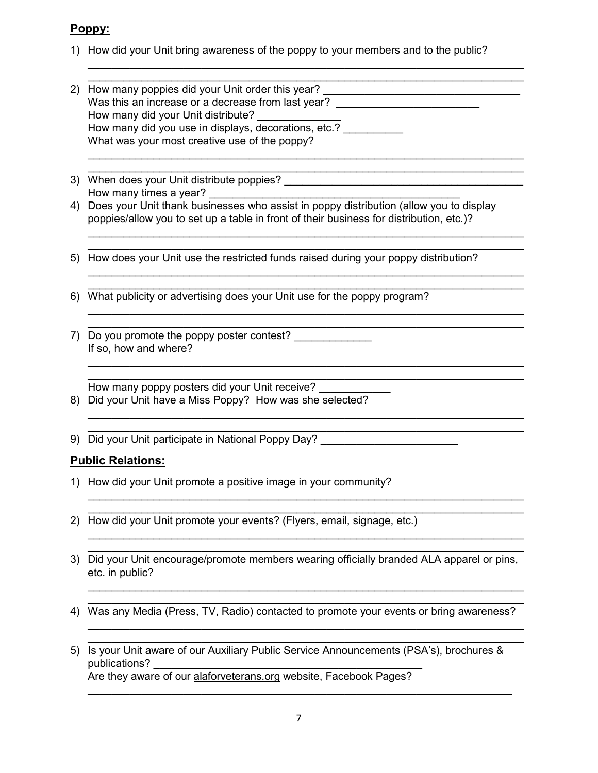### **Poppy:**

1) How did your Unit bring awareness of the poppy to your members and to the public?

 $\_$  , and the set of the set of the set of the set of the set of the set of the set of the set of the set of the set of the set of the set of the set of the set of the set of the set of the set of the set of the set of th  $\_$  , and the set of the set of the set of the set of the set of the set of the set of the set of the set of the set of the set of the set of the set of the set of the set of the set of the set of the set of the set of th

 $\_$  , and the set of the set of the set of the set of the set of the set of the set of the set of the set of the set of the set of the set of the set of the set of the set of the set of the set of the set of the set of th

 $\_$  , and the set of the set of the set of the set of the set of the set of the set of the set of the set of the set of the set of the set of the set of the set of the set of the set of the set of the set of the set of th  $\_$  , and the set of the set of the set of the set of the set of the set of the set of the set of the set of the set of the set of the set of the set of the set of the set of the set of the set of the set of the set of th

 $\_$  , and the set of the set of the set of the set of the set of the set of the set of the set of the set of the set of the set of the set of the set of the set of the set of the set of the set of the set of the set of th

 $\_$  , and the set of the set of the set of the set of the set of the set of the set of the set of the set of the set of the set of the set of the set of the set of the set of the set of the set of the set of the set of th  $\_$  , and the set of the set of the set of the set of the set of the set of the set of the set of the set of the set of the set of the set of the set of the set of the set of the set of the set of the set of the set of th

 $\_$  , and the set of the set of the set of the set of the set of the set of the set of the set of the set of the set of the set of the set of the set of the set of the set of the set of the set of the set of the set of th

 $\_$  , and the set of the set of the set of the set of the set of the set of the set of the set of the set of the set of the set of the set of the set of the set of the set of the set of the set of the set of the set of th  $\_$  , and the set of the set of the set of the set of the set of the set of the set of the set of the set of the set of the set of the set of the set of the set of the set of the set of the set of the set of the set of th

 $\_$  , and the set of the set of the set of the set of the set of the set of the set of the set of the set of the set of the set of the set of the set of the set of the set of the set of the set of the set of the set of th  $\_$  , and the set of the set of the set of the set of the set of the set of the set of the set of the set of the set of the set of the set of the set of the set of the set of the set of the set of the set of the set of th

 $\_$  , and the set of the set of the set of the set of the set of the set of the set of the set of the set of the set of the set of the set of the set of the set of the set of the set of the set of the set of the set of th

 $\_$  , and the set of the set of the set of the set of the set of the set of the set of the set of the set of the set of the set of the set of the set of the set of the set of the set of the set of the set of the set of th

 $\_$  , and the set of the set of the set of the set of the set of the set of the set of the set of the set of the set of the set of the set of the set of the set of the set of the set of the set of the set of the set of th  $\_$  , and the set of the set of the set of the set of the set of the set of the set of the set of the set of the set of the set of the set of the set of the set of the set of the set of the set of the set of the set of th

- 2) How many poppies did your Unit order this year? Was this an increase or a decrease from last year? \_\_\_\_\_\_\_\_\_\_\_\_\_\_\_\_\_\_\_\_\_\_\_\_\_\_\_\_\_ How many did your Unit distribute? How many did you use in displays, decorations, etc.? What was your most creative use of the poppy?
- $\_$  , and the set of the set of the set of the set of the set of the set of the set of the set of the set of the set of the set of the set of the set of the set of the set of the set of the set of the set of the set of th 3) When does your Unit distribute poppies? \_\_\_\_\_\_\_\_\_\_\_\_\_\_\_\_\_\_\_\_\_\_\_\_\_\_\_\_\_\_\_\_\_\_\_\_\_\_\_\_ How many times a year?
- 4) Does your Unit thank businesses who assist in poppy distribution (allow you to display poppies/allow you to set up a table in front of their business for distribution, etc.)?
- 5) How does your Unit use the restricted funds raised during your poppy distribution?
- $\_$  , and the set of the set of the set of the set of the set of the set of the set of the set of the set of the set of the set of the set of the set of the set of the set of the set of the set of the set of the set of th 6) What publicity or advertising does your Unit use for the poppy program?
- 7) Do you promote the poppy poster contest? If so, how and where?

 $\_$  , and the set of the set of the set of the set of the set of the set of the set of the set of the set of the set of the set of the set of the set of the set of the set of the set of the set of the set of the set of th How many poppy posters did your Unit receive?

- 8) Did your Unit have a Miss Poppy? How was she selected?
- 9) Did your Unit participate in National Poppy Day? \_\_\_\_\_\_\_\_\_\_\_\_\_\_\_\_\_\_\_\_\_\_\_\_\_\_\_

## **Public Relations:**

- 1) How did your Unit promote a positive image in your community?
- 2) How did your Unit promote your events? (Flyers, email, signage, etc.)
- $\_$  , and the set of the set of the set of the set of the set of the set of the set of the set of the set of the set of the set of the set of the set of the set of the set of the set of the set of the set of the set of th 3) Did your Unit encourage/promote members wearing officially branded ALA apparel or pins, etc. in public?
- $\_$  , and the set of the set of the set of the set of the set of the set of the set of the set of the set of the set of the set of the set of the set of the set of the set of the set of the set of the set of the set of th 4) Was any Media (Press, TV, Radio) contacted to promote your events or bring awareness?
- 5) Is your Unit aware of our Auxiliary Public Service Announcements (PSA's), brochures & publications? Are they aware of our alaforveterans.org website, Facebook Pages?

 $\_$  , and the set of the set of the set of the set of the set of the set of the set of the set of the set of the set of the set of the set of the set of the set of the set of the set of the set of the set of the set of th